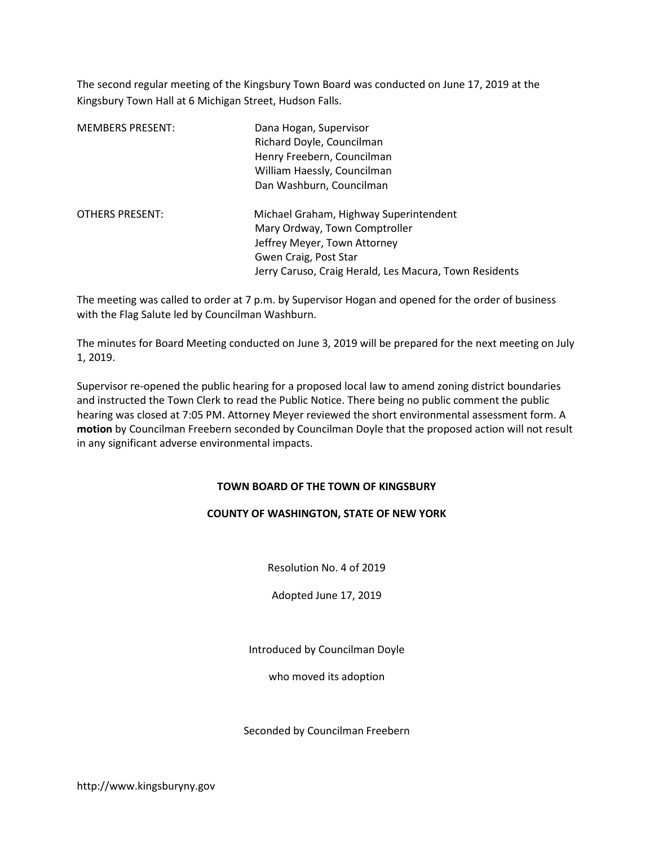The second regular meeting of the Kingsbury Town Board was conducted on June 17, 2019 at the Kingsbury Town Hall at 6 Michigan Street, Hudson Falls.

| <b>MEMBERS PRESENT:</b> | Dana Hogan, Supervisor<br>Richard Doyle, Councilman<br>Henry Freebern, Councilman<br>William Haessly, Councilman<br>Dan Washburn, Councilman                                               |
|-------------------------|--------------------------------------------------------------------------------------------------------------------------------------------------------------------------------------------|
| OTHERS PRESENT:         | Michael Graham, Highway Superintendent<br>Mary Ordway, Town Comptroller<br>Jeffrey Meyer, Town Attorney<br>Gwen Craig, Post Star<br>Jerry Caruso, Craig Herald, Les Macura, Town Residents |

The meeting was called to order at 7 p.m. by Supervisor Hogan and opened for the order of business with the Flag Salute led by Councilman Washburn.

The minutes for Board Meeting conducted on June 3, 2019 will be prepared for the next meeting on July 1, 2019.

Supervisor re-opened the public hearing for a proposed local law to amend zoning district boundaries and instructed the Town Clerk to read the Public Notice. There being no public comment the public hearing was closed at 7:05 PM. Attorney Meyer reviewed the short environmental assessment form. A motion by Councilman Freebern seconded by Councilman Doyle that the proposed action will not result in any significant adverse environmental impacts.

### TOWN BOARD OF THE TOWN OF KINGSBURY

# COUNTY OF WASHINGTON, STATE OF NEW YORK

Resolution No. 4 of 2019

Adopted June 17, 2019

Introduced by Councilman Doyle

who moved its adoption

Seconded by Councilman Freebern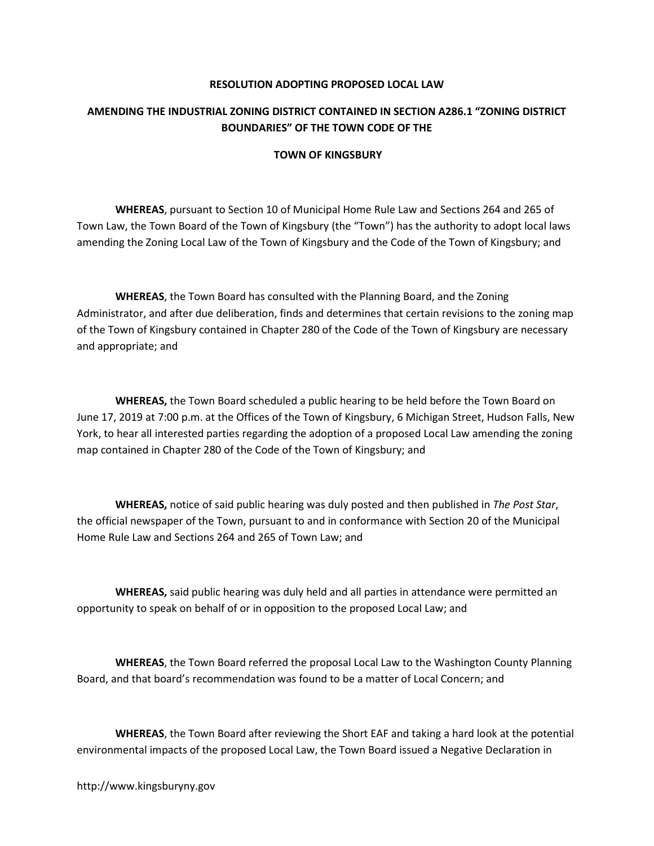#### RESOLUTION ADOPTING PROPOSED LOCAL LAW

# AMENDING THE INDUSTRIAL ZONING DISTRICT CONTAINED IN SECTION A286.1 "ZONING DISTRICT BOUNDARIES" OF THE TOWN CODE OF THE

#### TOWN OF KINGSBURY

WHEREAS, pursuant to Section 10 of Municipal Home Rule Law and Sections 264 and 265 of Town Law, the Town Board of the Town of Kingsbury (the "Town") has the authority to adopt local laws amending the Zoning Local Law of the Town of Kingsbury and the Code of the Town of Kingsbury; and

WHEREAS, the Town Board has consulted with the Planning Board, and the Zoning Administrator, and after due deliberation, finds and determines that certain revisions to the zoning map of the Town of Kingsbury contained in Chapter 280 of the Code of the Town of Kingsbury are necessary and appropriate; and

WHEREAS, the Town Board scheduled a public hearing to be held before the Town Board on June 17, 2019 at 7:00 p.m. at the Offices of the Town of Kingsbury, 6 Michigan Street, Hudson Falls, New York, to hear all interested parties regarding the adoption of a proposed Local Law amending the zoning map contained in Chapter 280 of the Code of the Town of Kingsbury; and

WHEREAS, notice of said public hearing was duly posted and then published in The Post Star, the official newspaper of the Town, pursuant to and in conformance with Section 20 of the Municipal Home Rule Law and Sections 264 and 265 of Town Law; and

WHEREAS, said public hearing was duly held and all parties in attendance were permitted an opportunity to speak on behalf of or in opposition to the proposed Local Law; and

 WHEREAS, the Town Board referred the proposal Local Law to the Washington County Planning Board, and that board's recommendation was found to be a matter of Local Concern; and

WHEREAS, the Town Board after reviewing the Short EAF and taking a hard look at the potential environmental impacts of the proposed Local Law, the Town Board issued a Negative Declaration in

http://www.kingsburyny.gov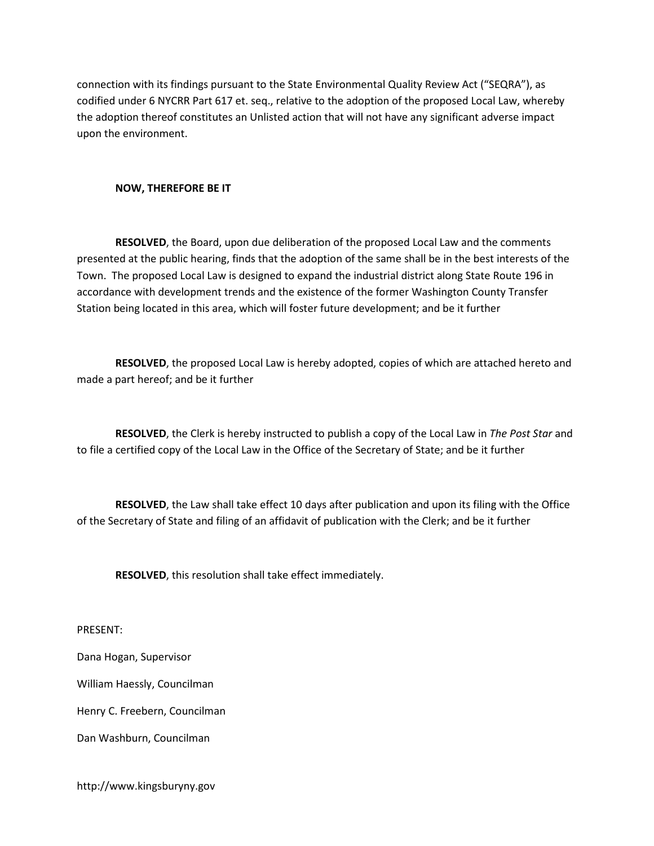connection with its findings pursuant to the State Environmental Quality Review Act ("SEQRA"), as codified under 6 NYCRR Part 617 et. seq., relative to the adoption of the proposed Local Law, whereby the adoption thereof constitutes an Unlisted action that will not have any significant adverse impact upon the environment.

#### NOW, THEREFORE BE IT

RESOLVED, the Board, upon due deliberation of the proposed Local Law and the comments presented at the public hearing, finds that the adoption of the same shall be in the best interests of the Town. The proposed Local Law is designed to expand the industrial district along State Route 196 in accordance with development trends and the existence of the former Washington County Transfer Station being located in this area, which will foster future development; and be it further

RESOLVED, the proposed Local Law is hereby adopted, copies of which are attached hereto and made a part hereof; and be it further

RESOLVED, the Clerk is hereby instructed to publish a copy of the Local Law in The Post Star and to file a certified copy of the Local Law in the Office of the Secretary of State; and be it further

RESOLVED, the Law shall take effect 10 days after publication and upon its filing with the Office of the Secretary of State and filing of an affidavit of publication with the Clerk; and be it further

RESOLVED, this resolution shall take effect immediately.

PRESENT:

Dana Hogan, Supervisor

William Haessly, Councilman

Henry C. Freebern, Councilman

Dan Washburn, Councilman

http://www.kingsburyny.gov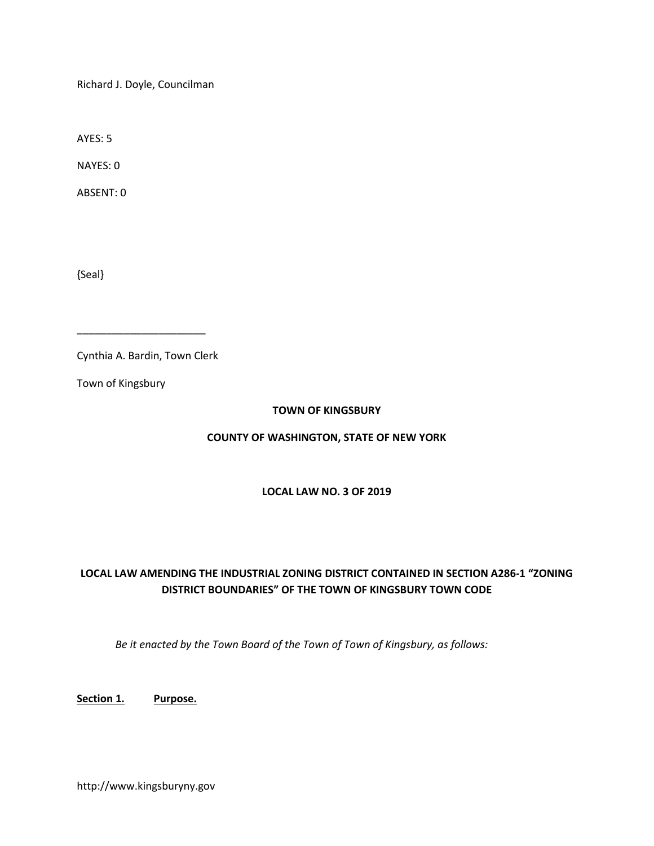Richard J. Doyle, Councilman

AYES: 5

NAYES: 0

ABSENT: 0

{Seal}

Cynthia A. Bardin, Town Clerk

\_\_\_\_\_\_\_\_\_\_\_\_\_\_\_\_\_\_\_\_\_\_

Town of Kingsbury

#### TOWN OF KINGSBURY

### COUNTY OF WASHINGTON, STATE OF NEW YORK

#### LOCAL LAW NO. 3 OF 2019

# LOCAL LAW AMENDING THE INDUSTRIAL ZONING DISTRICT CONTAINED IN SECTION A286-1 "ZONING DISTRICT BOUNDARIES" OF THE TOWN OF KINGSBURY TOWN CODE

Be it enacted by the Town Board of the Town of Town of Kingsbury, as follows:

Section 1. Purpose.

http://www.kingsburyny.gov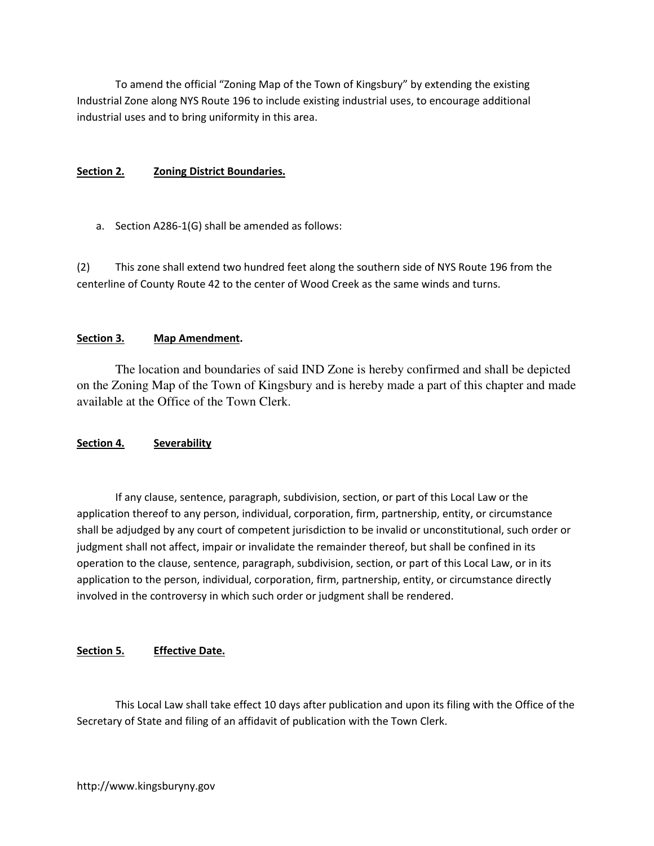To amend the official "Zoning Map of the Town of Kingsbury" by extending the existing Industrial Zone along NYS Route 196 to include existing industrial uses, to encourage additional industrial uses and to bring uniformity in this area.

### Section 2. Zoning District Boundaries.

a. Section A286-1(G) shall be amended as follows:

(2) This zone shall extend two hundred feet along the southern side of NYS Route 196 from the centerline of County Route 42 to the center of Wood Creek as the same winds and turns.

# Section 3. Map Amendment.

The location and boundaries of said IND Zone is hereby confirmed and shall be depicted on the Zoning Map of the Town of Kingsbury and is hereby made a part of this chapter and made available at the Office of the Town Clerk.

# Section 4. Severability

 If any clause, sentence, paragraph, subdivision, section, or part of this Local Law or the application thereof to any person, individual, corporation, firm, partnership, entity, or circumstance shall be adjudged by any court of competent jurisdiction to be invalid or unconstitutional, such order or judgment shall not affect, impair or invalidate the remainder thereof, but shall be confined in its operation to the clause, sentence, paragraph, subdivision, section, or part of this Local Law, or in its application to the person, individual, corporation, firm, partnership, entity, or circumstance directly involved in the controversy in which such order or judgment shall be rendered.

# Section 5. Effective Date.

This Local Law shall take effect 10 days after publication and upon its filing with the Office of the Secretary of State and filing of an affidavit of publication with the Town Clerk.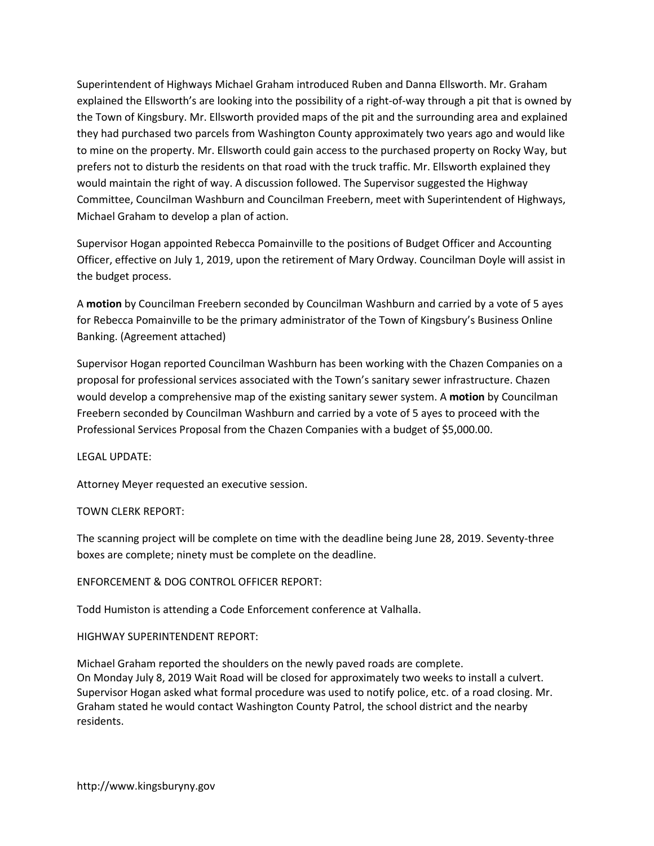Superintendent of Highways Michael Graham introduced Ruben and Danna Ellsworth. Mr. Graham explained the Ellsworth's are looking into the possibility of a right-of-way through a pit that is owned by the Town of Kingsbury. Mr. Ellsworth provided maps of the pit and the surrounding area and explained they had purchased two parcels from Washington County approximately two years ago and would like to mine on the property. Mr. Ellsworth could gain access to the purchased property on Rocky Way, but prefers not to disturb the residents on that road with the truck traffic. Mr. Ellsworth explained they would maintain the right of way. A discussion followed. The Supervisor suggested the Highway Committee, Councilman Washburn and Councilman Freebern, meet with Superintendent of Highways, Michael Graham to develop a plan of action.

Supervisor Hogan appointed Rebecca Pomainville to the positions of Budget Officer and Accounting Officer, effective on July 1, 2019, upon the retirement of Mary Ordway. Councilman Doyle will assist in the budget process.

A motion by Councilman Freebern seconded by Councilman Washburn and carried by a vote of 5 ayes for Rebecca Pomainville to be the primary administrator of the Town of Kingsbury's Business Online Banking. (Agreement attached)

Supervisor Hogan reported Councilman Washburn has been working with the Chazen Companies on a proposal for professional services associated with the Town's sanitary sewer infrastructure. Chazen would develop a comprehensive map of the existing sanitary sewer system. A **motion** by Councilman Freebern seconded by Councilman Washburn and carried by a vote of 5 ayes to proceed with the Professional Services Proposal from the Chazen Companies with a budget of \$5,000.00.

LEGAL UPDATE:

Attorney Meyer requested an executive session.

# TOWN CLERK REPORT:

The scanning project will be complete on time with the deadline being June 28, 2019. Seventy-three boxes are complete; ninety must be complete on the deadline.

# ENFORCEMENT & DOG CONTROL OFFICER REPORT:

Todd Humiston is attending a Code Enforcement conference at Valhalla.

### HIGHWAY SUPERINTENDENT REPORT:

Michael Graham reported the shoulders on the newly paved roads are complete. On Monday July 8, 2019 Wait Road will be closed for approximately two weeks to install a culvert. Supervisor Hogan asked what formal procedure was used to notify police, etc. of a road closing. Mr. Graham stated he would contact Washington County Patrol, the school district and the nearby residents.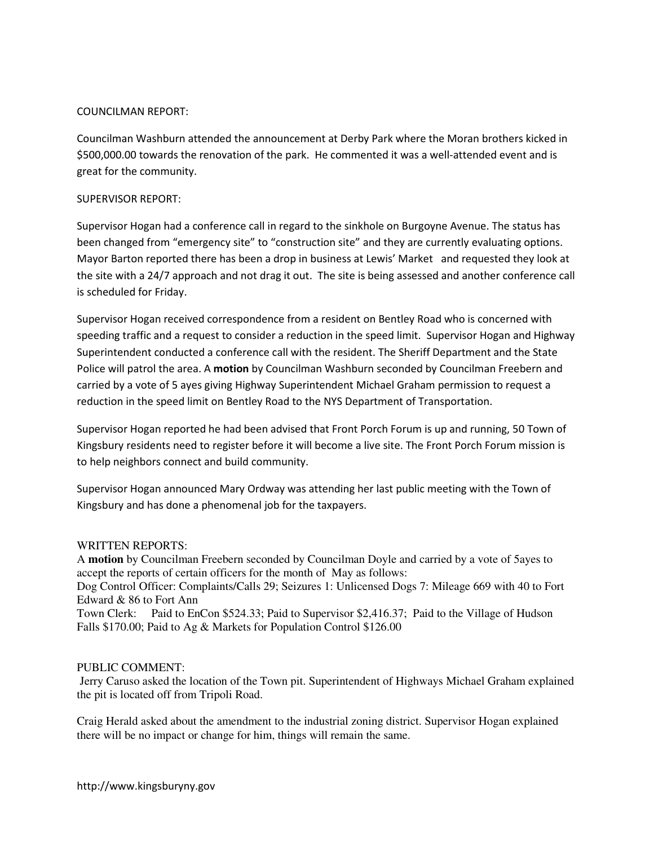### COUNCILMAN REPORT:

Councilman Washburn attended the announcement at Derby Park where the Moran brothers kicked in \$500,000.00 towards the renovation of the park. He commented it was a well-attended event and is great for the community.

#### SUPERVISOR REPORT:

Supervisor Hogan had a conference call in regard to the sinkhole on Burgoyne Avenue. The status has been changed from "emergency site" to "construction site" and they are currently evaluating options. Mayor Barton reported there has been a drop in business at Lewis' Market and requested they look at the site with a 24/7 approach and not drag it out. The site is being assessed and another conference call is scheduled for Friday.

Supervisor Hogan received correspondence from a resident on Bentley Road who is concerned with speeding traffic and a request to consider a reduction in the speed limit. Supervisor Hogan and Highway Superintendent conducted a conference call with the resident. The Sheriff Department and the State Police will patrol the area. A motion by Councilman Washburn seconded by Councilman Freebern and carried by a vote of 5 ayes giving Highway Superintendent Michael Graham permission to request a reduction in the speed limit on Bentley Road to the NYS Department of Transportation.

Supervisor Hogan reported he had been advised that Front Porch Forum is up and running, 50 Town of Kingsbury residents need to register before it will become a live site. The Front Porch Forum mission is to help neighbors connect and build community.

Supervisor Hogan announced Mary Ordway was attending her last public meeting with the Town of Kingsbury and has done a phenomenal job for the taxpayers.

### WRITTEN REPORTS:

A **motion** by Councilman Freebern seconded by Councilman Doyle and carried by a vote of 5ayes to accept the reports of certain officers for the month of May as follows: Dog Control Officer: Complaints/Calls 29; Seizures 1: Unlicensed Dogs 7: Mileage 669 with 40 to Fort Edward & 86 to Fort Ann Town Clerk: Paid to EnCon \$524.33; Paid to Supervisor \$2,416.37; Paid to the Village of Hudson Falls \$170.00; Paid to Ag & Markets for Population Control \$126.00

### PUBLIC COMMENT:

 Jerry Caruso asked the location of the Town pit. Superintendent of Highways Michael Graham explained the pit is located off from Tripoli Road.

Craig Herald asked about the amendment to the industrial zoning district. Supervisor Hogan explained there will be no impact or change for him, things will remain the same.